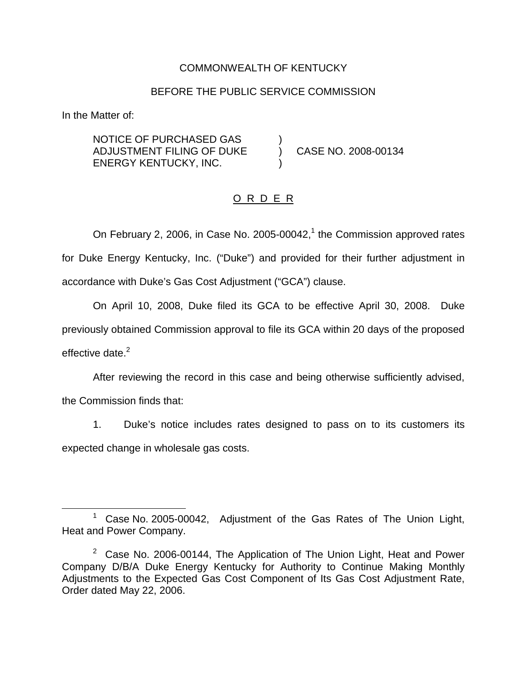# COMMONWEALTH OF KENTUCKY

### BEFORE THE PUBLIC SERVICE COMMISSION

In the Matter of:

NOTICE OF PURCHASED GAS ) ADJUSTMENT FILING OF DUKE ) CASE NO. 2008-00134 ENERGY KENTUCKY, INC. )

# O R D E R

On February 2, 2006, in Case No. 2005-00042, $1$  the Commission approved rates for Duke Energy Kentucky, Inc. ("Duke") and provided for their further adjustment in accordance with Duke's Gas Cost Adjustment ("GCA") clause.

On April 10, 2008, Duke filed its GCA to be effective April 30, 2008. Duke previously obtained Commission approval to file its GCA within 20 days of the proposed effective date. $2$ 

After reviewing the record in this case and being otherwise sufficiently advised, the Commission finds that:

1. Duke's notice includes rates designed to pass on to its customers its expected change in wholesale gas costs.

<sup>1</sup> Case No. 2005-00042, Adjustment of the Gas Rates of The Union Light, Heat and Power Company.

 $2^2$  Case No. 2006-00144, The Application of The Union Light, Heat and Power Company D/B/A Duke Energy Kentucky for Authority to Continue Making Monthly Adjustments to the Expected Gas Cost Component of Its Gas Cost Adjustment Rate, Order dated May 22, 2006.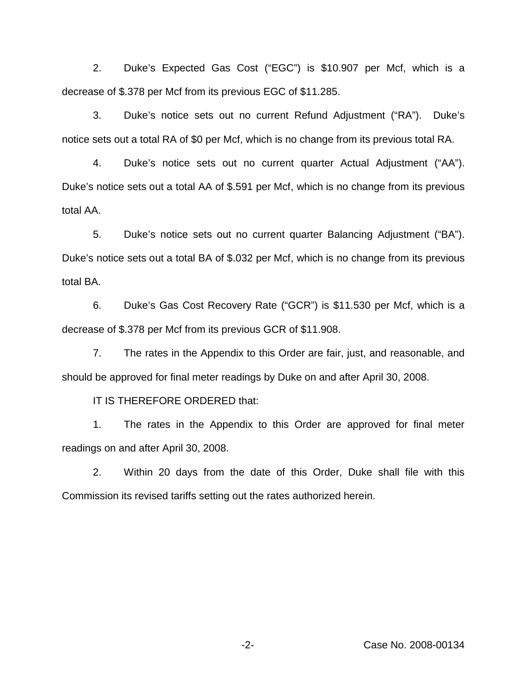2. Duke's Expected Gas Cost ("EGC") is \$10.907 per Mcf, which is a decrease of \$.378 per Mcf from its previous EGC of \$11.285.

3. Duke's notice sets out no current Refund Adjustment ("RA"). Duke's notice sets out a total RA of \$0 per Mcf, which is no change from its previous total RA.

4. Duke's notice sets out no current quarter Actual Adjustment ("AA"). Duke's notice sets out a total AA of \$.591 per Mcf, which is no change from its previous total AA.

5. Duke's notice sets out no current quarter Balancing Adjustment ("BA"). Duke's notice sets out a total BA of \$.032 per Mcf, which is no change from its previous total BA.

6. Duke's Gas Cost Recovery Rate ("GCR") is \$11.530 per Mcf, which is a decrease of \$.378 per Mcf from its previous GCR of \$11.908.

7. The rates in the Appendix to this Order are fair, just, and reasonable, and should be approved for final meter readings by Duke on and after April 30, 2008.

IT IS THEREFORE ORDERED that:

1. The rates in the Appendix to this Order are approved for final meter readings on and after April 30, 2008.

2. Within 20 days from the date of this Order, Duke shall file with this Commission its revised tariffs setting out the rates authorized herein.

-2- Case No. 2008-00134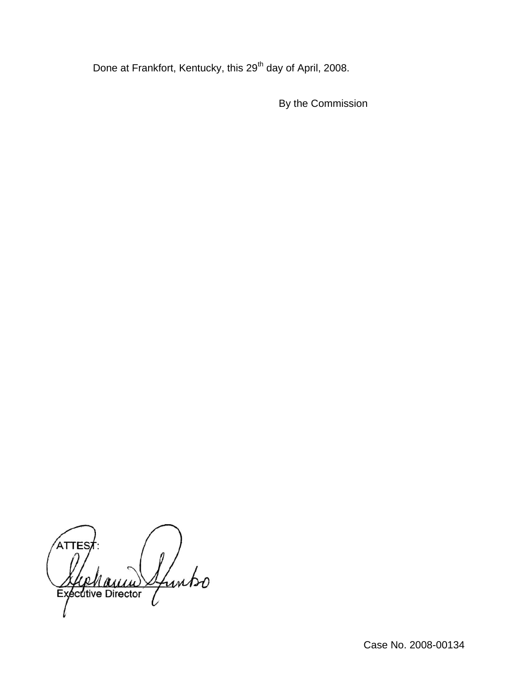Done at Frankfort, Kentucky, this 29<sup>th</sup> day of April, 2008.

By the Commission

ATTES Ifuntso **Exécutive Director**